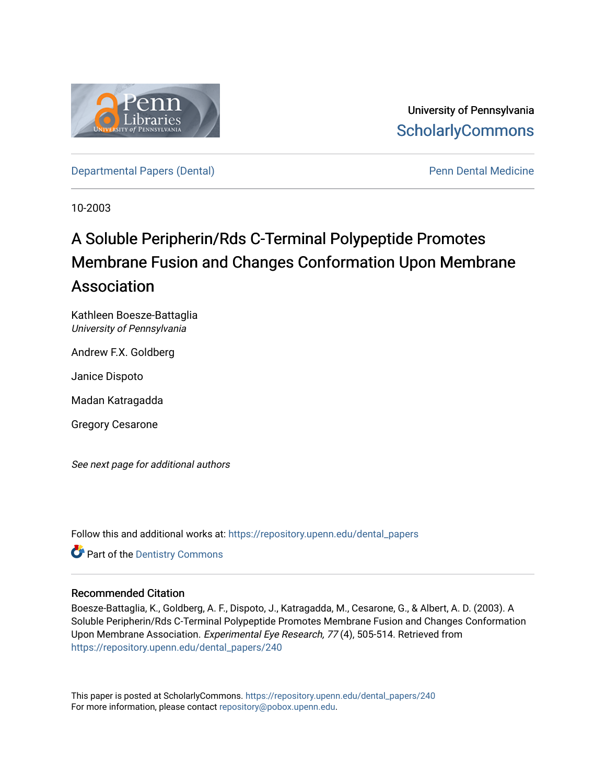

University of Pennsylvania **ScholarlyCommons** 

[Departmental Papers \(Dental\)](https://repository.upenn.edu/dental_papers) **Pennis Accord Pennis Pennis Pennis Pennis Pennis Pennis Pennis Pennis Pennis Pennis Pennis Pennis Pennis Pennis Pennis Pennis Pennis Pennis Pennis Pennis Pennis Pennis Pennis Pennis Pennis Pen** 

10-2003

# A Soluble Peripherin/Rds C-Terminal Polypeptide Promotes Membrane Fusion and Changes Conformation Upon Membrane Association

Kathleen Boesze-Battaglia University of Pennsylvania

Andrew F.X. Goldberg

Janice Dispoto

Madan Katragadda

Gregory Cesarone

See next page for additional authors

Follow this and additional works at: [https://repository.upenn.edu/dental\\_papers](https://repository.upenn.edu/dental_papers?utm_source=repository.upenn.edu%2Fdental_papers%2F240&utm_medium=PDF&utm_campaign=PDFCoverPages)

**Part of the Dentistry Commons** 

## Recommended Citation

Boesze-Battaglia, K., Goldberg, A. F., Dispoto, J., Katragadda, M., Cesarone, G., & Albert, A. D. (2003). A Soluble Peripherin/Rds C-Terminal Polypeptide Promotes Membrane Fusion and Changes Conformation Upon Membrane Association. Experimental Eye Research, 77 (4), 505-514. Retrieved from [https://repository.upenn.edu/dental\\_papers/240](https://repository.upenn.edu/dental_papers/240?utm_source=repository.upenn.edu%2Fdental_papers%2F240&utm_medium=PDF&utm_campaign=PDFCoverPages)

This paper is posted at ScholarlyCommons. [https://repository.upenn.edu/dental\\_papers/240](https://repository.upenn.edu/dental_papers/240)  For more information, please contact [repository@pobox.upenn.edu.](mailto:repository@pobox.upenn.edu)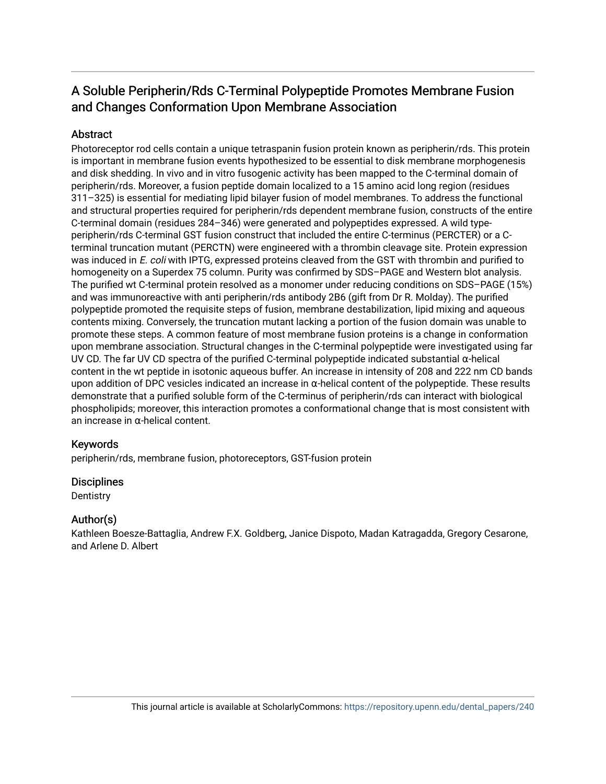## A Soluble Peripherin/Rds C-Terminal Polypeptide Promotes Membrane Fusion and Changes Conformation Upon Membrane Association

## **Abstract**

Photoreceptor rod cells contain a unique tetraspanin fusion protein known as peripherin/rds. This protein is important in membrane fusion events hypothesized to be essential to disk membrane morphogenesis and disk shedding. In vivo and in vitro fusogenic activity has been mapped to the C-terminal domain of peripherin/rds. Moreover, a fusion peptide domain localized to a 15 amino acid long region (residues 311–325) is essential for mediating lipid bilayer fusion of model membranes. To address the functional and structural properties required for peripherin/rds dependent membrane fusion, constructs of the entire C-terminal domain (residues 284–346) were generated and polypeptides expressed. A wild typeperipherin/rds C-terminal GST fusion construct that included the entire C-terminus (PERCTER) or a Cterminal truncation mutant (PERCTN) were engineered with a thrombin cleavage site. Protein expression was induced in E. coli with IPTG, expressed proteins cleaved from the GST with thrombin and purified to homogeneity on a Superdex 75 column. Purity was confirmed by SDS–PAGE and Western blot analysis. The purified wt C-terminal protein resolved as a monomer under reducing conditions on SDS–PAGE (15%) and was immunoreactive with anti peripherin/rds antibody 2B6 (gift from Dr R. Molday). The purified polypeptide promoted the requisite steps of fusion, membrane destabilization, lipid mixing and aqueous contents mixing. Conversely, the truncation mutant lacking a portion of the fusion domain was unable to promote these steps. A common feature of most membrane fusion proteins is a change in conformation upon membrane association. Structural changes in the C-terminal polypeptide were investigated using far UV CD. The far UV CD spectra of the purified C-terminal polypeptide indicated substantial α-helical content in the wt peptide in isotonic aqueous buffer. An increase in intensity of 208 and 222 nm CD bands upon addition of DPC vesicles indicated an increase in  $\alpha$ -helical content of the polypeptide. These results demonstrate that a purified soluble form of the C-terminus of peripherin/rds can interact with biological phospholipids; moreover, this interaction promotes a conformational change that is most consistent with an increase in α-helical content.

## Keywords

peripherin/rds, membrane fusion, photoreceptors, GST-fusion protein

## **Disciplines**

**Dentistry** 

## Author(s)

Kathleen Boesze-Battaglia, Andrew F.X. Goldberg, Janice Dispoto, Madan Katragadda, Gregory Cesarone, and Arlene D. Albert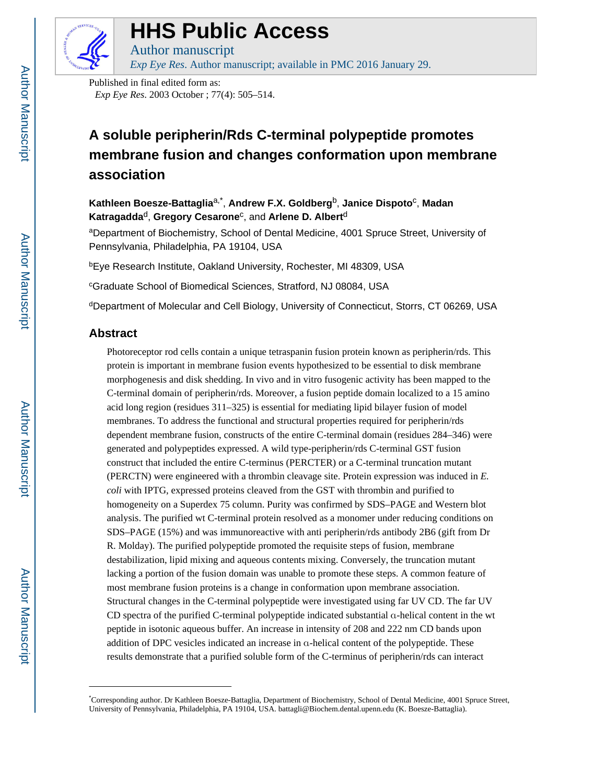

# **HHS Public Access**

Author manuscript *Exp Eye Res*. Author manuscript; available in PMC 2016 January 29.

Published in final edited form as: *Exp Eye Res*. 2003 October ; 77(4): 505–514.

## **A soluble peripherin/Rds C-terminal polypeptide promotes membrane fusion and changes conformation upon membrane association**

**Kathleen Boesze-Battaglia**a,\* , **Andrew F.X. Goldberg**b, **Janice Dispoto**<sup>c</sup> , **Madan Katragadda**d, **Gregory Cesarone**<sup>c</sup> , and **Arlene D. Albert**<sup>d</sup>

<sup>a</sup>Department of Biochemistry, School of Dental Medicine, 4001 Spruce Street, University of Pennsylvania, Philadelphia, PA 19104, USA

<sup>b</sup>Eye Research Institute, Oakland University, Rochester, MI 48309, USA

<sup>c</sup>Graduate School of Biomedical Sciences, Stratford, NJ 08084, USA

<sup>d</sup>Department of Molecular and Cell Biology, University of Connecticut, Storrs, CT 06269, USA

## **Abstract**

Photoreceptor rod cells contain a unique tetraspanin fusion protein known as peripherin/rds. This protein is important in membrane fusion events hypothesized to be essential to disk membrane morphogenesis and disk shedding. In vivo and in vitro fusogenic activity has been mapped to the C-terminal domain of peripherin/rds. Moreover, a fusion peptide domain localized to a 15 amino acid long region (residues 311–325) is essential for mediating lipid bilayer fusion of model membranes. To address the functional and structural properties required for peripherin/rds dependent membrane fusion, constructs of the entire C-terminal domain (residues 284–346) were generated and polypeptides expressed. A wild type-peripherin/rds C-terminal GST fusion construct that included the entire C-terminus (PERCTER) or a C-terminal truncation mutant (PERCTN) were engineered with a thrombin cleavage site. Protein expression was induced in *E. coli* with IPTG, expressed proteins cleaved from the GST with thrombin and purified to homogeneity on a Superdex 75 column. Purity was confirmed by SDS–PAGE and Western blot analysis. The purified wt C-terminal protein resolved as a monomer under reducing conditions on SDS–PAGE (15%) and was immunoreactive with anti peripherin/rds antibody 2B6 (gift from Dr R. Molday). The purified polypeptide promoted the requisite steps of fusion, membrane destabilization, lipid mixing and aqueous contents mixing. Conversely, the truncation mutant lacking a portion of the fusion domain was unable to promote these steps. A common feature of most membrane fusion proteins is a change in conformation upon membrane association. Structural changes in the C-terminal polypeptide were investigated using far UV CD. The far UV CD spectra of the purified C-terminal polypeptide indicated substantial α-helical content in the wt peptide in isotonic aqueous buffer. An increase in intensity of 208 and 222 nm CD bands upon addition of DPC vesicles indicated an increase in α-helical content of the polypeptide. These results demonstrate that a purified soluble form of the C-terminus of peripherin/rds can interact

<sup>\*</sup>Corresponding author. Dr Kathleen Boesze-Battaglia, Department of Biochemistry, School of Dental Medicine, 4001 Spruce Street, University of Pennsylvania, Philadelphia, PA 19104, USA. battagli@Biochem.dental.upenn.edu (K. Boesze-Battaglia).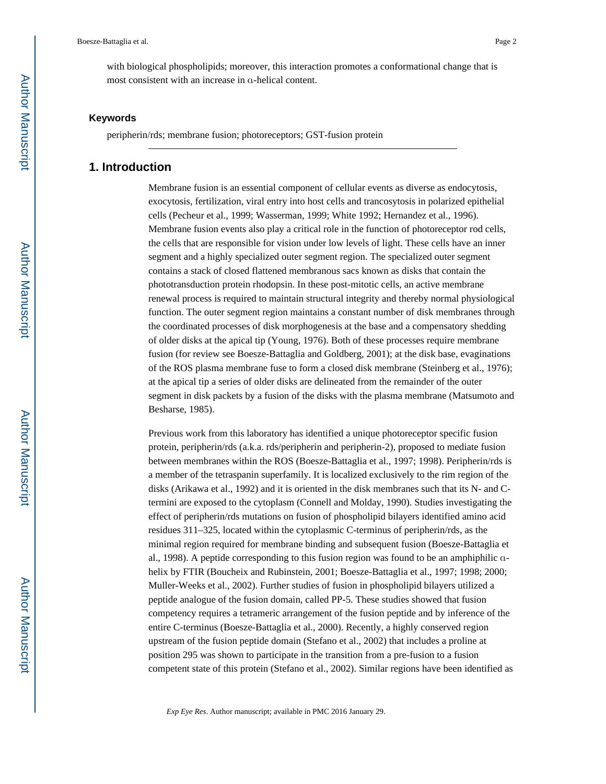with biological phospholipids; moreover, this interaction promotes a conformational change that is most consistent with an increase in α-helical content.

#### **Keywords**

peripherin/rds; membrane fusion; photoreceptors; GST-fusion protein

#### **1. Introduction**

Membrane fusion is an essential component of cellular events as diverse as endocytosis, exocytosis, fertilization, viral entry into host cells and trancosytosis in polarized epithelial cells (Pecheur et al., 1999; Wasserman, 1999; White 1992; Hernandez et al., 1996). Membrane fusion events also play a critical role in the function of photoreceptor rod cells, the cells that are responsible for vision under low levels of light. These cells have an inner segment and a highly specialized outer segment region. The specialized outer segment contains a stack of closed flattened membranous sacs known as disks that contain the phototransduction protein rhodopsin. In these post-mitotic cells, an active membrane renewal process is required to maintain structural integrity and thereby normal physiological function. The outer segment region maintains a constant number of disk membranes through the coordinated processes of disk morphogenesis at the base and a compensatory shedding of older disks at the apical tip (Young, 1976). Both of these processes require membrane fusion (for review see Boesze-Battaglia and Goldberg, 2001); at the disk base, evaginations of the ROS plasma membrane fuse to form a closed disk membrane (Steinberg et al., 1976); at the apical tip a series of older disks are delineated from the remainder of the outer segment in disk packets by a fusion of the disks with the plasma membrane (Matsumoto and Besharse, 1985).

Previous work from this laboratory has identified a unique photoreceptor specific fusion protein, peripherin/rds (a.k.a. rds/peripherin and peripherin-2), proposed to mediate fusion between membranes within the ROS (Boesze-Battaglia et al., 1997; 1998). Peripherin/rds is a member of the tetraspanin superfamily. It is localized exclusively to the rim region of the disks (Arikawa et al., 1992) and it is oriented in the disk membranes such that its N- and Ctermini are exposed to the cytoplasm (Connell and Molday, 1990). Studies investigating the effect of peripherin/rds mutations on fusion of phospholipid bilayers identified amino acid residues 311–325, located within the cytoplasmic C-terminus of peripherin/rds, as the minimal region required for membrane binding and subsequent fusion (Boesze-Battaglia et al., 1998). A peptide corresponding to this fusion region was found to be an amphiphilic αhelix by FTIR (Boucheix and Rubinstein, 2001; Boesze-Battaglia et al., 1997; 1998; 2000; Muller-Weeks et al., 2002). Further studies of fusion in phospholipid bilayers utilized a peptide analogue of the fusion domain, called PP-5. These studies showed that fusion competency requires a tetrameric arrangement of the fusion peptide and by inference of the entire C-terminus (Boesze-Battaglia et al., 2000). Recently, a highly conserved region upstream of the fusion peptide domain (Stefano et al., 2002) that includes a proline at position 295 was shown to participate in the transition from a pre-fusion to a fusion competent state of this protein (Stefano et al., 2002). Similar regions have been identified as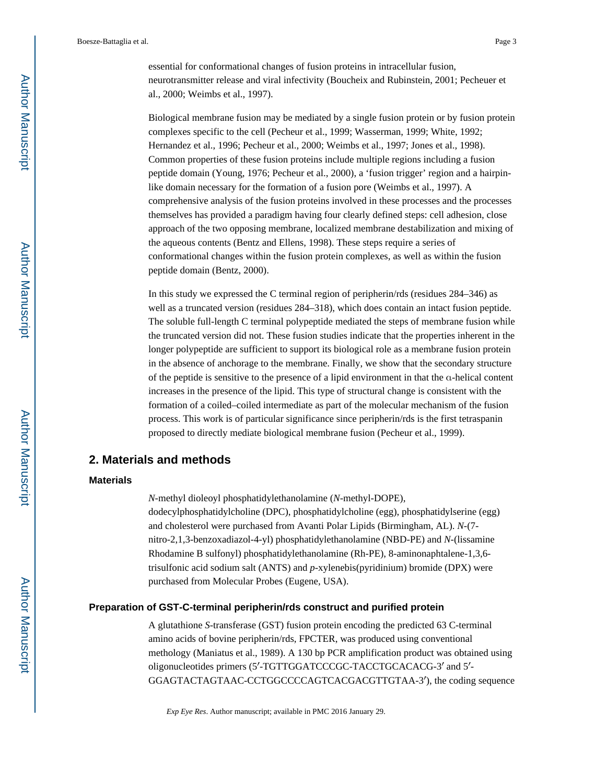essential for conformational changes of fusion proteins in intracellular fusion, neurotransmitter release and viral infectivity (Boucheix and Rubinstein, 2001; Pecheuer et al., 2000; Weimbs et al., 1997).

Biological membrane fusion may be mediated by a single fusion protein or by fusion protein complexes specific to the cell (Pecheur et al., 1999; Wasserman, 1999; White, 1992; Hernandez et al., 1996; Pecheur et al., 2000; Weimbs et al., 1997; Jones et al., 1998). Common properties of these fusion proteins include multiple regions including a fusion peptide domain (Young, 1976; Pecheur et al., 2000), a 'fusion trigger' region and a hairpinlike domain necessary for the formation of a fusion pore (Weimbs et al., 1997). A comprehensive analysis of the fusion proteins involved in these processes and the processes themselves has provided a paradigm having four clearly defined steps: cell adhesion, close approach of the two opposing membrane, localized membrane destabilization and mixing of the aqueous contents (Bentz and Ellens, 1998). These steps require a series of conformational changes within the fusion protein complexes, as well as within the fusion peptide domain (Bentz, 2000).

In this study we expressed the C terminal region of peripherin/rds (residues 284–346) as well as a truncated version (residues 284–318), which does contain an intact fusion peptide. The soluble full-length C terminal polypeptide mediated the steps of membrane fusion while the truncated version did not. These fusion studies indicate that the properties inherent in the longer polypeptide are sufficient to support its biological role as a membrane fusion protein in the absence of anchorage to the membrane. Finally, we show that the secondary structure of the peptide is sensitive to the presence of a lipid environment in that the α-helical content increases in the presence of the lipid. This type of structural change is consistent with the formation of a coiled–coiled intermediate as part of the molecular mechanism of the fusion process. This work is of particular significance since peripherin/rds is the first tetraspanin proposed to directly mediate biological membrane fusion (Pecheur et al., 1999).

## **2. Materials and methods**

#### **Materials**

*N*-methyl dioleoyl phosphatidylethanolamine (*N*-methyl-DOPE),

dodecylphosphatidylcholine (DPC), phosphatidylcholine (egg), phosphatidylserine (egg) and cholesterol were purchased from Avanti Polar Lipids (Birmingham, AL). *N*-(7 nitro-2,1,3-benzoxadiazol-4-yl) phosphatidylethanolamine (NBD-PE) and *N*-(lissamine Rhodamine B sulfonyl) phosphatidylethanolamine (Rh-PE), 8-aminonaphtalene-1,3,6 trisulfonic acid sodium salt (ANTS) and *p*-xylenebis(pyridinium) bromide (DPX) were purchased from Molecular Probes (Eugene, USA).

#### **Preparation of GST-C-terminal peripherin/rds construct and purified protein**

A glutathione *S*-transferase (GST) fusion protein encoding the predicted 63 C-terminal amino acids of bovine peripherin/rds, FPCTER, was produced using conventional methology (Maniatus et al., 1989). A 130 bp PCR amplification product was obtained using oligonucleotides primers (5′-TGTTGGATCCCGC-TACCTGCACACG-3′ and 5′- GGAGTACTAGTAAC-CCTGGCCCCAGTCACGACGTTGTAA-3′), the coding sequence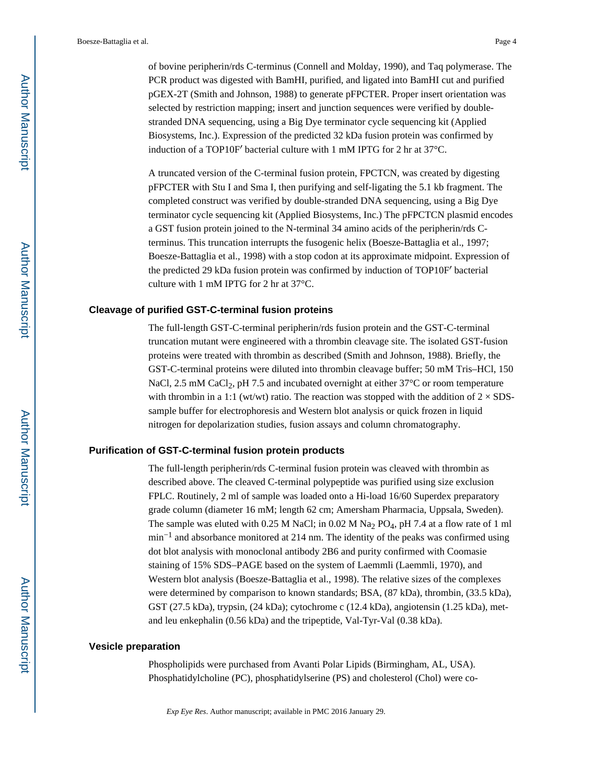of bovine peripherin/rds C-terminus (Connell and Molday, 1990), and Taq polymerase. The PCR product was digested with BamHI, purified, and ligated into BamHI cut and purified pGEX-2T (Smith and Johnson, 1988) to generate pFPCTER. Proper insert orientation was selected by restriction mapping; insert and junction sequences were verified by doublestranded DNA sequencing, using a Big Dye terminator cycle sequencing kit (Applied Biosystems, Inc.). Expression of the predicted 32 kDa fusion protein was confirmed by induction of a TOP10F′ bacterial culture with 1 mM IPTG for 2 hr at 37°C.

A truncated version of the C-terminal fusion protein, FPCTCN, was created by digesting pFPCTER with Stu I and Sma I, then purifying and self-ligating the 5.1 kb fragment. The completed construct was verified by double-stranded DNA sequencing, using a Big Dye terminator cycle sequencing kit (Applied Biosystems, Inc.) The pFPCTCN plasmid encodes a GST fusion protein joined to the N-terminal 34 amino acids of the peripherin/rds Cterminus. This truncation interrupts the fusogenic helix (Boesze-Battaglia et al., 1997; Boesze-Battaglia et al., 1998) with a stop codon at its approximate midpoint. Expression of the predicted 29 kDa fusion protein was confirmed by induction of TOP10F′ bacterial culture with 1 mM IPTG for 2 hr at 37°C.

#### **Cleavage of purified GST-C-terminal fusion proteins**

The full-length GST-C-terminal peripherin/rds fusion protein and the GST-C-terminal truncation mutant were engineered with a thrombin cleavage site. The isolated GST-fusion proteins were treated with thrombin as described (Smith and Johnson, 1988). Briefly, the GST-C-terminal proteins were diluted into thrombin cleavage buffer; 50 mM Tris–HCl, 150 NaCl, 2.5 mM CaCl<sub>2</sub>, pH 7.5 and incubated overnight at either  $37^{\circ}$ C or room temperature with thrombin in a 1:1 (wt/wt) ratio. The reaction was stopped with the addition of  $2 \times$  SDSsample buffer for electrophoresis and Western blot analysis or quick frozen in liquid nitrogen for depolarization studies, fusion assays and column chromatography.

#### **Purification of GST-C-terminal fusion protein products**

The full-length peripherin/rds C-terminal fusion protein was cleaved with thrombin as described above. The cleaved C-terminal polypeptide was purified using size exclusion FPLC. Routinely, 2 ml of sample was loaded onto a Hi-load 16/60 Superdex preparatory grade column (diameter 16 mM; length 62 cm; Amersham Pharmacia, Uppsala, Sweden). The sample was eluted with 0.25 M NaCl; in 0.02 M Na<sub>2</sub> PO<sub>4</sub>, pH 7.4 at a flow rate of 1 ml min−1 and absorbance monitored at 214 nm. The identity of the peaks was confirmed using dot blot analysis with monoclonal antibody 2B6 and purity confirmed with Coomasie staining of 15% SDS–PAGE based on the system of Laemmli (Laemmli, 1970), and Western blot analysis (Boesze-Battaglia et al., 1998). The relative sizes of the complexes were determined by comparison to known standards; BSA, (87 kDa), thrombin, (33.5 kDa), GST (27.5 kDa), trypsin, (24 kDa); cytochrome c (12.4 kDa), angiotensin (1.25 kDa), metand leu enkephalin (0.56 kDa) and the tripeptide, Val-Tyr-Val (0.38 kDa).

#### **Vesicle preparation**

Phospholipids were purchased from Avanti Polar Lipids (Birmingham, AL, USA). Phosphatidylcholine (PC), phosphatidylserine (PS) and cholesterol (Chol) were co-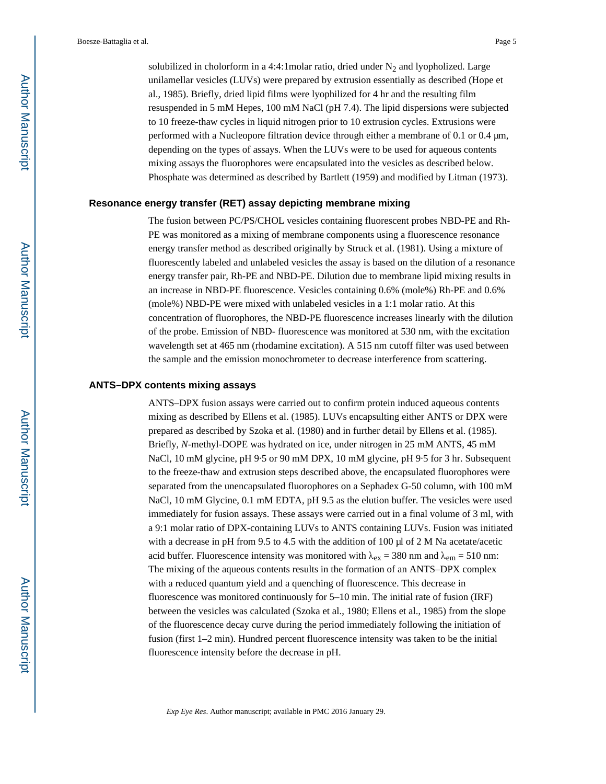solubilized in cholorform in a 4:4:1 molar ratio, dried under  $N_2$  and lyopholized. Large unilamellar vesicles (LUVs) were prepared by extrusion essentially as described (Hope et al., 1985). Briefly, dried lipid films were lyophilized for 4 hr and the resulting film resuspended in 5 mM Hepes, 100 mM NaCl (pH 7.4). The lipid dispersions were subjected to 10 freeze-thaw cycles in liquid nitrogen prior to 10 extrusion cycles. Extrusions were performed with a Nucleopore filtration device through either a membrane of 0.1 or 0.4 μm, depending on the types of assays. When the LUVs were to be used for aqueous contents mixing assays the fluorophores were encapsulated into the vesicles as described below. Phosphate was determined as described by Bartlett (1959) and modified by Litman (1973).

#### **Resonance energy transfer (RET) assay depicting membrane mixing**

The fusion between PC/PS/CHOL vesicles containing fluorescent probes NBD-PE and Rh-PE was monitored as a mixing of membrane components using a fluorescence resonance energy transfer method as described originally by Struck et al. (1981). Using a mixture of fluorescently labeled and unlabeled vesicles the assay is based on the dilution of a resonance energy transfer pair, Rh-PE and NBD-PE. Dilution due to membrane lipid mixing results in an increase in NBD-PE fluorescence. Vesicles containing 0.6% (mole%) Rh-PE and 0.6% (mole%) NBD-PE were mixed with unlabeled vesicles in a 1:1 molar ratio. At this concentration of fluorophores, the NBD-PE fluorescence increases linearly with the dilution of the probe. Emission of NBD- fluorescence was monitored at 530 nm, with the excitation wavelength set at 465 nm (rhodamine excitation). A 515 nm cutoff filter was used between the sample and the emission monochrometer to decrease interference from scattering.

#### **ANTS–DPX contents mixing assays**

ANTS–DPX fusion assays were carried out to confirm protein induced aqueous contents mixing as described by Ellens et al. (1985). LUVs encapsulting either ANTS or DPX were prepared as described by Szoka et al. (1980) and in further detail by Ellens et al. (1985). Briefly, *N*-methyl-DOPE was hydrated on ice, under nitrogen in 25 mM ANTS, 45 mM NaCl, 10 mM glycine, pH 9·5 or 90 mM DPX, 10 mM glycine, pH 9·5 for 3 hr. Subsequent to the freeze-thaw and extrusion steps described above, the encapsulated fluorophores were separated from the unencapsulated fluorophores on a Sephadex G-50 column, with 100 mM NaCl, 10 mM Glycine, 0.1 mM EDTA, pH 9.5 as the elution buffer. The vesicles were used immediately for fusion assays. These assays were carried out in a final volume of 3 ml, with a 9:1 molar ratio of DPX-containing LUVs to ANTS containing LUVs. Fusion was initiated with a decrease in pH from 9.5 to 4.5 with the addition of 100 μl of 2 M Na acetate/acetic acid buffer. Fluorescence intensity was monitored with  $\lambda_{ex} = 380$  nm and  $\lambda_{em} = 510$  nm: The mixing of the aqueous contents results in the formation of an ANTS–DPX complex with a reduced quantum yield and a quenching of fluorescence. This decrease in fluorescence was monitored continuously for 5–10 min. The initial rate of fusion (IRF) between the vesicles was calculated (Szoka et al., 1980; Ellens et al., 1985) from the slope of the fluorescence decay curve during the period immediately following the initiation of fusion (first 1–2 min). Hundred percent fluorescence intensity was taken to be the initial fluorescence intensity before the decrease in pH.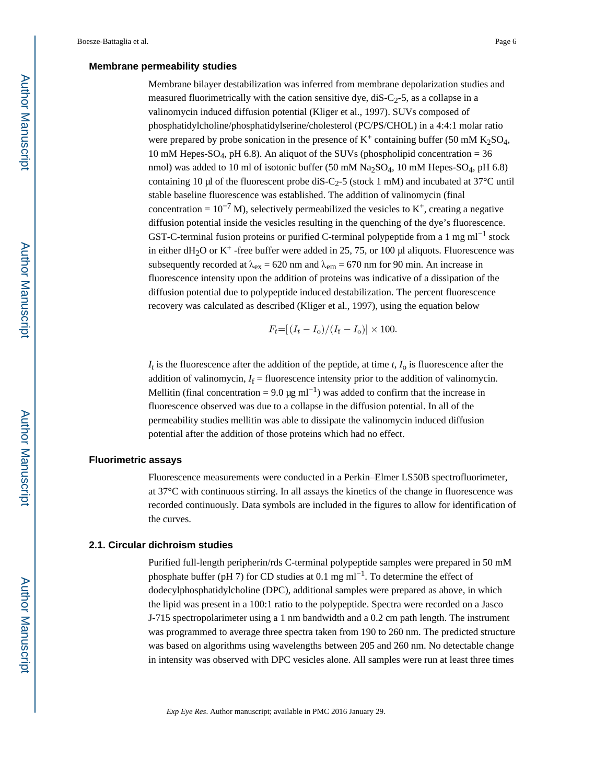#### **Membrane permeability studies**

Membrane bilayer destabilization was inferred from membrane depolarization studies and measured fluorimetrically with the cation sensitive dye,  $dis-C_2-5$ , as a collapse in a valinomycin induced diffusion potential (Kliger et al., 1997). SUVs composed of phosphatidylcholine/phosphatidylserine/cholesterol (PC/PS/CHOL) in a 4:4:1 molar ratio were prepared by probe sonication in the presence of  $K^+$  containing buffer (50 mM  $K_2SO_4$ , 10 mM Hepes-SO<sub>4</sub>, pH 6.8). An aliquot of the SUVs (phospholipid concentration = 36 nmol) was added to 10 ml of isotonic buffer (50 mM Na<sub>2</sub>SO<sub>4</sub>, 10 mM Hepes-SO<sub>4</sub>, pH 6.8) containing 10 μl of the fluorescent probe diS-C<sub>2</sub>-5 (stock 1 mM) and incubated at 37°C until stable baseline fluorescence was established. The addition of valinomycin (final concentration =  $10^{-7}$  M), selectively permeabilized the vesicles to K<sup>+</sup>, creating a negative diffusion potential inside the vesicles resulting in the quenching of the dye's fluorescence. GST-C-terminal fusion proteins or purified C-terminal polypeptide from a 1 mg ml<sup>-1</sup> stock in either dH<sub>2</sub>O or K<sup>+</sup>-free buffer were added in 25, 75, or 100 μl aliquots. Fluorescence was subsequently recorded at  $\lambda_{ex} = 620$  nm and  $\lambda_{em} = 670$  nm for 90 min. An increase in fluorescence intensity upon the addition of proteins was indicative of a dissipation of the diffusion potential due to polypeptide induced destabilization. The percent fluorescence recovery was calculated as described (Kliger et al., 1997), using the equation below

$$
F_t=[(I_t-I_o)/(I_f-I_o)]\times 100
$$

 $I_t$  is the fluorescence after the addition of the peptide, at time  $t$ ,  $I_0$  is fluorescence after the addition of valinomycin,  $I_f$  = fluorescence intensity prior to the addition of valinomycin. Mellitin (final concentration =  $9.0 \mu g$  ml<sup>-1</sup>) was added to confirm that the increase in fluorescence observed was due to a collapse in the diffusion potential. In all of the permeability studies mellitin was able to dissipate the valinomycin induced diffusion potential after the addition of those proteins which had no effect.

#### **Fluorimetric assays**

Fluorescence measurements were conducted in a Perkin–Elmer LS50B spectrofluorimeter, at 37°C with continuous stirring. In all assays the kinetics of the change in fluorescence was recorded continuously. Data symbols are included in the figures to allow for identification of the curves.

#### **2.1. Circular dichroism studies**

Purified full-length peripherin/rds C-terminal polypeptide samples were prepared in 50 mM phosphate buffer (pH 7) for CD studies at 0.1 mg ml<sup>-1</sup>. To determine the effect of dodecylphosphatidylcholine (DPC), additional samples were prepared as above, in which the lipid was present in a 100:1 ratio to the polypeptide. Spectra were recorded on a Jasco J-715 spectropolarimeter using a 1 nm bandwidth and a 0.2 cm path length. The instrument was programmed to average three spectra taken from 190 to 260 nm. The predicted structure was based on algorithms using wavelengths between 205 and 260 nm. No detectable change in intensity was observed with DPC vesicles alone. All samples were run at least three times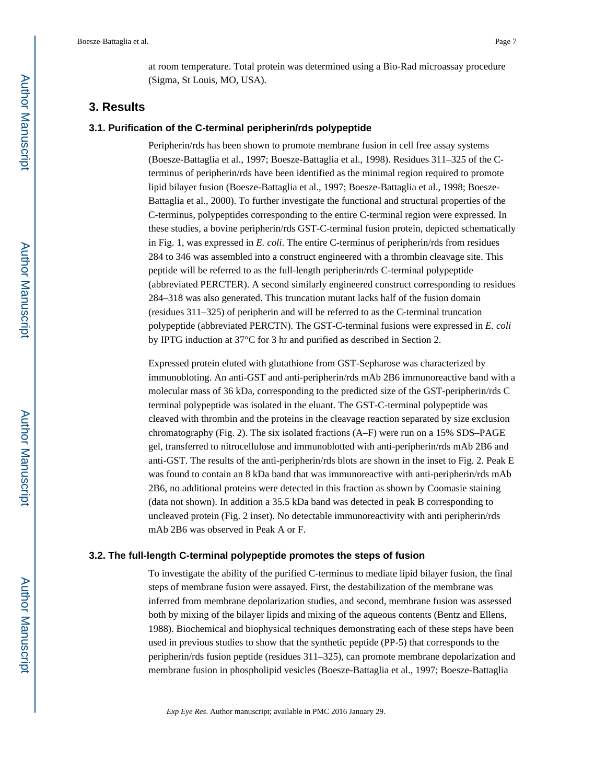at room temperature. Total protein was determined using a Bio-Rad microassay procedure (Sigma, St Louis, MO, USA).

## **3. Results**

#### **3.1. Purification of the C-terminal peripherin/rds polypeptide**

Peripherin/rds has been shown to promote membrane fusion in cell free assay systems (Boesze-Battaglia et al., 1997; Boesze-Battaglia et al., 1998). Residues 311–325 of the Cterminus of peripherin/rds have been identified as the minimal region required to promote lipid bilayer fusion (Boesze-Battaglia et al., 1997; Boesze-Battaglia et al., 1998; Boesze-Battaglia et al., 2000). To further investigate the functional and structural properties of the C-terminus, polypeptides corresponding to the entire C-terminal region were expressed. In these studies, a bovine peripherin/rds GST-C-terminal fusion protein, depicted schematically in Fig. 1, was expressed in *E. coli*. The entire C-terminus of peripherin/rds from residues 284 to 346 was assembled into a construct engineered with a thrombin cleavage site. This peptide will be referred to as the full-length peripherin/rds C-terminal polypeptide (abbreviated PERCTER). A second similarly engineered construct corresponding to residues 284–318 was also generated. This truncation mutant lacks half of the fusion domain (residues 311–325) of peripherin and will be referred to as the C-terminal truncation polypeptide (abbreviated PERCTN). The GST-C-terminal fusions were expressed in *E. coli*  by IPTG induction at 37°C for 3 hr and purified as described in Section 2.

Expressed protein eluted with glutathione from GST-Sepharose was characterized by immunobloting. An anti-GST and anti-peripherin/rds mAb 2B6 immunoreactive band with a molecular mass of 36 kDa, corresponding to the predicted size of the GST-peripherin/rds C terminal polypeptide was isolated in the eluant. The GST-C-terminal polypeptide was cleaved with thrombin and the proteins in the cleavage reaction separated by size exclusion chromatography (Fig. 2). The six isolated fractions  $(A-F)$  were run on a 15% SDS–PAGE gel, transferred to nitrocellulose and immunoblotted with anti-peripherin/rds mAb 2B6 and anti-GST. The results of the anti-peripherin/rds blots are shown in the inset to Fig. 2. Peak E was found to contain an 8 kDa band that was immunoreactive with anti-peripherin/rds mAb 2B6, no additional proteins were detected in this fraction as shown by Coomasie staining (data not shown). In addition a 35.5 kDa band was detected in peak B corresponding to uncleaved protein (Fig. 2 inset). No detectable immunoreactivity with anti peripherin/rds mAb 2B6 was observed in Peak A or F.

#### **3.2. The full-length C-terminal polypeptide promotes the steps of fusion**

To investigate the ability of the purified C-terminus to mediate lipid bilayer fusion, the final steps of membrane fusion were assayed. First, the destabilization of the membrane was inferred from membrane depolarization studies, and second, membrane fusion was assessed both by mixing of the bilayer lipids and mixing of the aqueous contents (Bentz and Ellens, 1988). Biochemical and biophysical techniques demonstrating each of these steps have been used in previous studies to show that the synthetic peptide (PP-5) that corresponds to the peripherin/rds fusion peptide (residues 311–325), can promote membrane depolarization and membrane fusion in phospholipid vesicles (Boesze-Battaglia et al., 1997; Boesze-Battaglia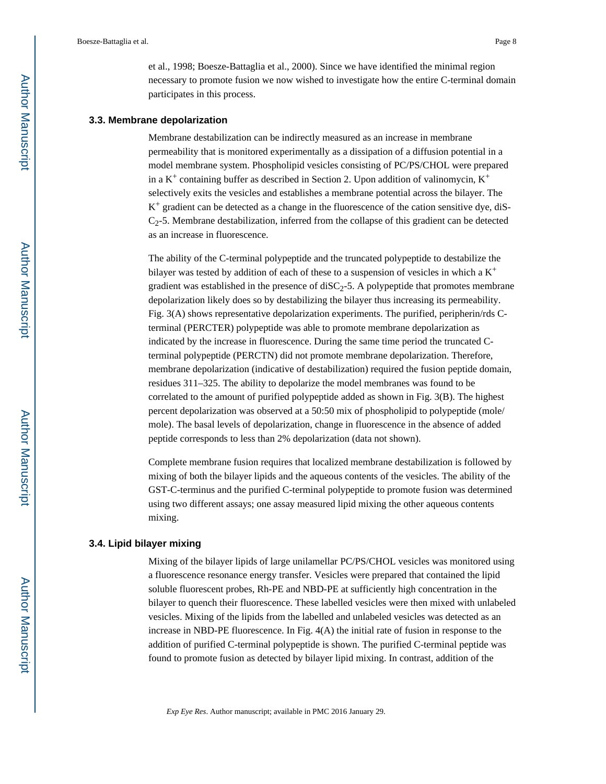et al., 1998; Boesze-Battaglia et al., 2000). Since we have identified the minimal region necessary to promote fusion we now wished to investigate how the entire C-terminal domain participates in this process.

#### **3.3. Membrane depolarization**

Membrane destabilization can be indirectly measured as an increase in membrane permeability that is monitored experimentally as a dissipation of a diffusion potential in a model membrane system. Phospholipid vesicles consisting of PC/PS/CHOL were prepared in a  $K^+$  containing buffer as described in Section 2. Upon addition of valinomycin,  $K^+$ selectively exits the vesicles and establishes a membrane potential across the bilayer. The  $K^+$  gradient can be detected as a change in the fluorescence of the cation sensitive dye, diS-C2-5. Membrane destabilization, inferred from the collapse of this gradient can be detected as an increase in fluorescence.

The ability of the C-terminal polypeptide and the truncated polypeptide to destabilize the bilayer was tested by addition of each of these to a suspension of vesicles in which a  $K^+$ gradient was established in the presence of  $\text{diSC}_2$ -5. A polypeptide that promotes membrane depolarization likely does so by destabilizing the bilayer thus increasing its permeability. Fig. 3(A) shows representative depolarization experiments. The purified, peripherin/rds Cterminal (PERCTER) polypeptide was able to promote membrane depolarization as indicated by the increase in fluorescence. During the same time period the truncated Cterminal polypeptide (PERCTN) did not promote membrane depolarization. Therefore, membrane depolarization (indicative of destabilization) required the fusion peptide domain, residues 311–325. The ability to depolarize the model membranes was found to be correlated to the amount of purified polypeptide added as shown in Fig. 3(B). The highest percent depolarization was observed at a 50:50 mix of phospholipid to polypeptide (mole/ mole). The basal levels of depolarization, change in fluorescence in the absence of added peptide corresponds to less than 2% depolarization (data not shown).

Complete membrane fusion requires that localized membrane destabilization is followed by mixing of both the bilayer lipids and the aqueous contents of the vesicles. The ability of the GST-C-terminus and the purified C-terminal polypeptide to promote fusion was determined using two different assays; one assay measured lipid mixing the other aqueous contents mixing.

#### **3.4. Lipid bilayer mixing**

Mixing of the bilayer lipids of large unilamellar PC/PS/CHOL vesicles was monitored using a fluorescence resonance energy transfer. Vesicles were prepared that contained the lipid soluble fluorescent probes, Rh-PE and NBD-PE at sufficiently high concentration in the bilayer to quench their fluorescence. These labelled vesicles were then mixed with unlabeled vesicles. Mixing of the lipids from the labelled and unlabeled vesicles was detected as an increase in NBD-PE fluorescence. In Fig. 4(A) the initial rate of fusion in response to the addition of purified C-terminal polypeptide is shown. The purified C-terminal peptide was found to promote fusion as detected by bilayer lipid mixing. In contrast, addition of the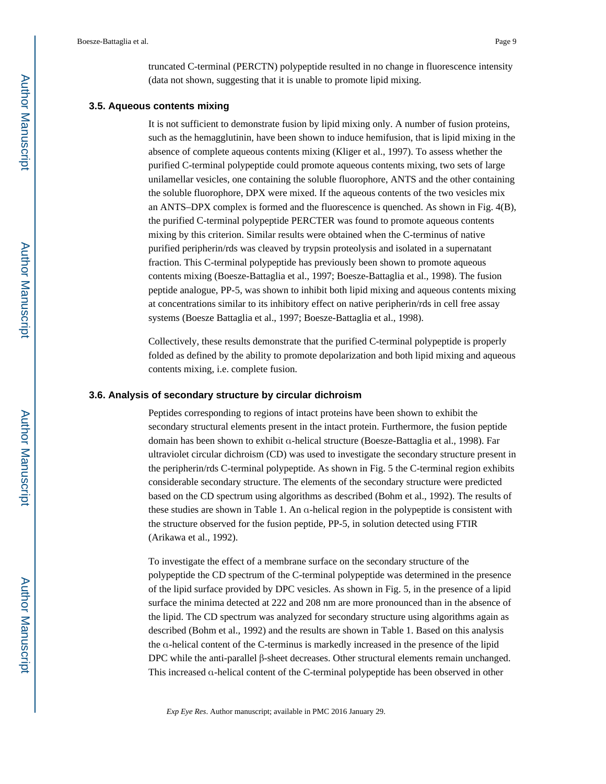truncated C-terminal (PERCTN) polypeptide resulted in no change in fluorescence intensity (data not shown, suggesting that it is unable to promote lipid mixing.

#### **3.5. Aqueous contents mixing**

It is not sufficient to demonstrate fusion by lipid mixing only. A number of fusion proteins, such as the hemagglutinin, have been shown to induce hemifusion, that is lipid mixing in the absence of complete aqueous contents mixing (Kliger et al., 1997). To assess whether the purified C-terminal polypeptide could promote aqueous contents mixing, two sets of large unilamellar vesicles, one containing the soluble fluorophore, ANTS and the other containing the soluble fluorophore, DPX were mixed. If the aqueous contents of the two vesicles mix an ANTS–DPX complex is formed and the fluorescence is quenched. As shown in Fig. 4(B), the purified C-terminal polypeptide PERCTER was found to promote aqueous contents mixing by this criterion. Similar results were obtained when the C-terminus of native purified peripherin/rds was cleaved by trypsin proteolysis and isolated in a supernatant fraction. This C-terminal polypeptide has previously been shown to promote aqueous contents mixing (Boesze-Battaglia et al., 1997; Boesze-Battaglia et al., 1998). The fusion peptide analogue, PP-5, was shown to inhibit both lipid mixing and aqueous contents mixing at concentrations similar to its inhibitory effect on native peripherin/rds in cell free assay systems (Boesze Battaglia et al., 1997; Boesze-Battaglia et al., 1998).

Collectively, these results demonstrate that the purified C-terminal polypeptide is properly folded as defined by the ability to promote depolarization and both lipid mixing and aqueous contents mixing, i.e. complete fusion.

#### **3.6. Analysis of secondary structure by circular dichroism**

Peptides corresponding to regions of intact proteins have been shown to exhibit the secondary structural elements present in the intact protein. Furthermore, the fusion peptide domain has been shown to exhibit α-helical structure (Boesze-Battaglia et al., 1998). Far ultraviolet circular dichroism (CD) was used to investigate the secondary structure present in the peripherin/rds C-terminal polypeptide. As shown in Fig. 5 the C-terminal region exhibits considerable secondary structure. The elements of the secondary structure were predicted based on the CD spectrum using algorithms as described (Bohm et al., 1992). The results of these studies are shown in Table 1. An α-helical region in the polypeptide is consistent with the structure observed for the fusion peptide, PP-5, in solution detected using FTIR (Arikawa et al., 1992).

To investigate the effect of a membrane surface on the secondary structure of the polypeptide the CD spectrum of the C-terminal polypeptide was determined in the presence of the lipid surface provided by DPC vesicles. As shown in Fig. 5, in the presence of a lipid surface the minima detected at 222 and 208 nm are more pronounced than in the absence of the lipid. The CD spectrum was analyzed for secondary structure using algorithms again as described (Bohm et al., 1992) and the results are shown in Table 1. Based on this analysis the α-helical content of the C-terminus is markedly increased in the presence of the lipid DPC while the anti-parallel β-sheet decreases. Other structural elements remain unchanged. This increased α-helical content of the C-terminal polypeptide has been observed in other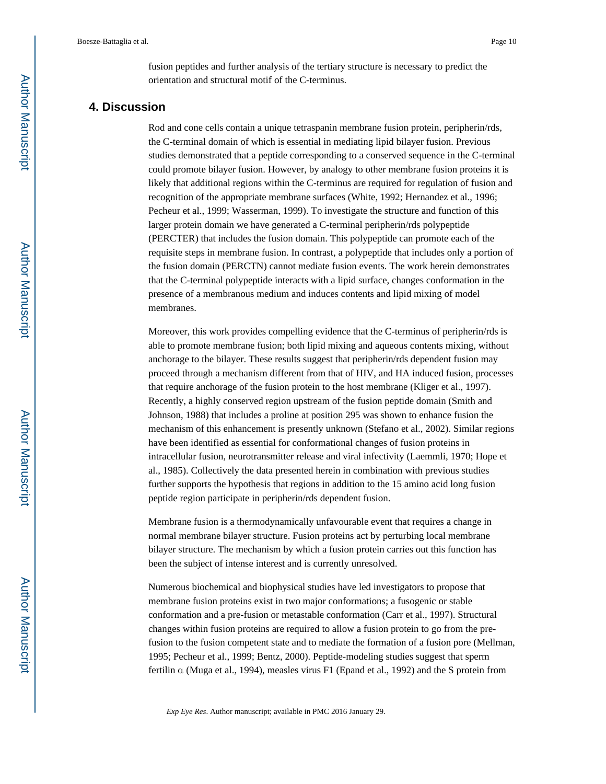fusion peptides and further analysis of the tertiary structure is necessary to predict the orientation and structural motif of the C-terminus.

## **4. Discussion**

Rod and cone cells contain a unique tetraspanin membrane fusion protein, peripherin/rds, the C-terminal domain of which is essential in mediating lipid bilayer fusion. Previous studies demonstrated that a peptide corresponding to a conserved sequence in the C-terminal could promote bilayer fusion. However, by analogy to other membrane fusion proteins it is likely that additional regions within the C-terminus are required for regulation of fusion and recognition of the appropriate membrane surfaces (White, 1992; Hernandez et al., 1996; Pecheur et al., 1999; Wasserman, 1999). To investigate the structure and function of this larger protein domain we have generated a C-terminal peripherin/rds polypeptide (PERCTER) that includes the fusion domain. This polypeptide can promote each of the requisite steps in membrane fusion. In contrast, a polypeptide that includes only a portion of the fusion domain (PERCTN) cannot mediate fusion events. The work herein demonstrates that the C-terminal polypeptide interacts with a lipid surface, changes conformation in the presence of a membranous medium and induces contents and lipid mixing of model membranes.

Moreover, this work provides compelling evidence that the C-terminus of peripherin/rds is able to promote membrane fusion; both lipid mixing and aqueous contents mixing, without anchorage to the bilayer. These results suggest that peripherin/rds dependent fusion may proceed through a mechanism different from that of HIV, and HA induced fusion, processes that require anchorage of the fusion protein to the host membrane (Kliger et al., 1997). Recently, a highly conserved region upstream of the fusion peptide domain (Smith and Johnson, 1988) that includes a proline at position 295 was shown to enhance fusion the mechanism of this enhancement is presently unknown (Stefano et al., 2002). Similar regions have been identified as essential for conformational changes of fusion proteins in intracellular fusion, neurotransmitter release and viral infectivity (Laemmli, 1970; Hope et al., 1985). Collectively the data presented herein in combination with previous studies further supports the hypothesis that regions in addition to the 15 amino acid long fusion peptide region participate in peripherin/rds dependent fusion.

Membrane fusion is a thermodynamically unfavourable event that requires a change in normal membrane bilayer structure. Fusion proteins act by perturbing local membrane bilayer structure. The mechanism by which a fusion protein carries out this function has been the subject of intense interest and is currently unresolved.

Numerous biochemical and biophysical studies have led investigators to propose that membrane fusion proteins exist in two major conformations; a fusogenic or stable conformation and a pre-fusion or metastable conformation (Carr et al., 1997). Structural changes within fusion proteins are required to allow a fusion protein to go from the prefusion to the fusion competent state and to mediate the formation of a fusion pore (Mellman, 1995; Pecheur et al., 1999; Bentz, 2000). Peptide-modeling studies suggest that sperm fertilin α (Muga et al., 1994), measles virus F1 (Epand et al., 1992) and the S protein from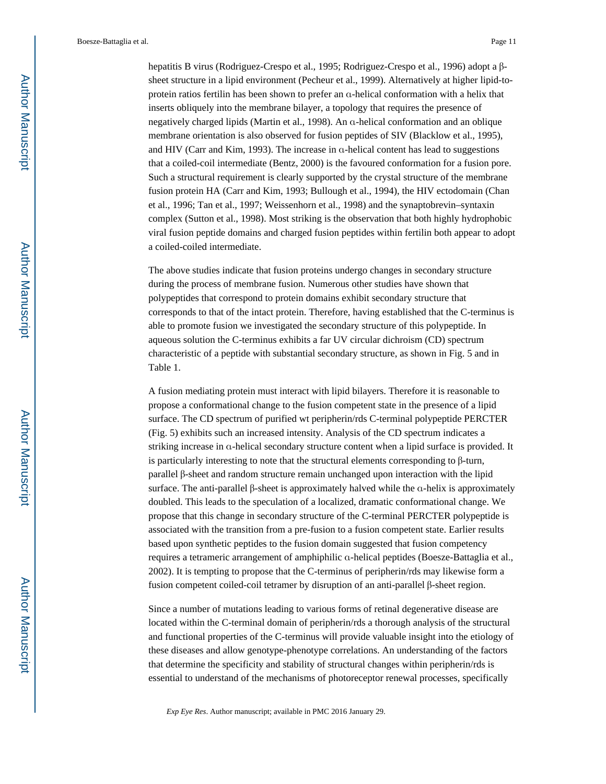hepatitis B virus (Rodriguez-Crespo et al., 1995; Rodriguez-Crespo et al., 1996) adopt a βsheet structure in a lipid environment (Pecheur et al., 1999). Alternatively at higher lipid-toprotein ratios fertilin has been shown to prefer an α-helical conformation with a helix that inserts obliquely into the membrane bilayer, a topology that requires the presence of negatively charged lipids (Martin et al., 1998). An α-helical conformation and an oblique membrane orientation is also observed for fusion peptides of SIV (Blacklow et al., 1995), and HIV (Carr and Kim, 1993). The increase in α-helical content has lead to suggestions that a coiled-coil intermediate (Bentz, 2000) is the favoured conformation for a fusion pore. Such a structural requirement is clearly supported by the crystal structure of the membrane fusion protein HA (Carr and Kim, 1993; Bullough et al., 1994), the HIV ectodomain (Chan et al., 1996; Tan et al., 1997; Weissenhorn et al., 1998) and the synaptobrevin–syntaxin complex (Sutton et al., 1998). Most striking is the observation that both highly hydrophobic viral fusion peptide domains and charged fusion peptides within fertilin both appear to adopt a coiled-coiled intermediate.

The above studies indicate that fusion proteins undergo changes in secondary structure during the process of membrane fusion. Numerous other studies have shown that polypeptides that correspond to protein domains exhibit secondary structure that corresponds to that of the intact protein. Therefore, having established that the C-terminus is able to promote fusion we investigated the secondary structure of this polypeptide. In aqueous solution the C-terminus exhibits a far UV circular dichroism (CD) spectrum characteristic of a peptide with substantial secondary structure, as shown in Fig. 5 and in Table 1.

A fusion mediating protein must interact with lipid bilayers. Therefore it is reasonable to propose a conformational change to the fusion competent state in the presence of a lipid surface. The CD spectrum of purified wt peripherin/rds C-terminal polypeptide PERCTER (Fig. 5) exhibits such an increased intensity. Analysis of the CD spectrum indicates a striking increase in α-helical secondary structure content when a lipid surface is provided. It is particularly interesting to note that the structural elements corresponding to β-turn, parallel β-sheet and random structure remain unchanged upon interaction with the lipid surface. The anti-parallel β-sheet is approximately halved while the α-helix is approximately doubled. This leads to the speculation of a localized, dramatic conformational change. We propose that this change in secondary structure of the C-terminal PERCTER polypeptide is associated with the transition from a pre-fusion to a fusion competent state. Earlier results based upon synthetic peptides to the fusion domain suggested that fusion competency requires a tetrameric arrangement of amphiphilic α-helical peptides (Boesze-Battaglia et al., 2002). It is tempting to propose that the C-terminus of peripherin/rds may likewise form a fusion competent coiled-coil tetramer by disruption of an anti-parallel β-sheet region.

Since a number of mutations leading to various forms of retinal degenerative disease are located within the C-terminal domain of peripherin/rds a thorough analysis of the structural and functional properties of the C-terminus will provide valuable insight into the etiology of these diseases and allow genotype-phenotype correlations. An understanding of the factors that determine the specificity and stability of structural changes within peripherin/rds is essential to understand of the mechanisms of photoreceptor renewal processes, specifically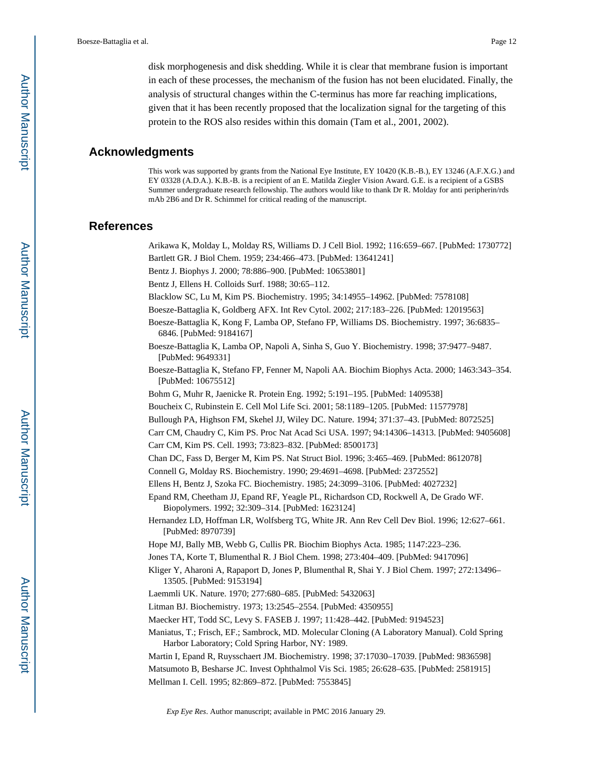disk morphogenesis and disk shedding. While it is clear that membrane fusion is important in each of these processes, the mechanism of the fusion has not been elucidated. Finally, the analysis of structural changes within the C-terminus has more far reaching implications, given that it has been recently proposed that the localization signal for the targeting of this protein to the ROS also resides within this domain (Tam et al., 2001, 2002).

## **Acknowledgments**

This work was supported by grants from the National Eye Institute, EY 10420 (K.B.-B.), EY 13246 (A.F.X.G.) and EY 03328 (A.D.A.). K.B.-B. is a recipient of an E. Matilda Ziegler Vision Award. G.E. is a recipient of a GSBS Summer undergraduate research fellowship. The authors would like to thank Dr R. Molday for anti peripherin/rds mAb 2B6 and Dr R. Schimmel for critical reading of the manuscript.

## **References**

Arikawa K, Molday L, Molday RS, Williams D. J Cell Biol. 1992; 116:659–667. [PubMed: 1730772]

Bartlett GR. J Biol Chem. 1959; 234:466–473. [PubMed: 13641241]

- Bentz J. Biophys J. 2000; 78:886–900. [PubMed: 10653801]
- Bentz J, Ellens H. Colloids Surf. 1988; 30:65–112.

Blacklow SC, Lu M, Kim PS. Biochemistry. 1995; 34:14955–14962. [PubMed: 7578108]

- Boesze-Battaglia K, Goldberg AFX. Int Rev Cytol. 2002; 217:183–226. [PubMed: 12019563]
- Boesze-Battaglia K, Kong F, Lamba OP, Stefano FP, Williams DS. Biochemistry. 1997; 36:6835– 6846. [PubMed: 9184167]
- Boesze-Battaglia K, Lamba OP, Napoli A, Sinha S, Guo Y. Biochemistry. 1998; 37:9477–9487. [PubMed: 9649331]
- Boesze-Battaglia K, Stefano FP, Fenner M, Napoli AA. Biochim Biophys Acta. 2000; 1463:343–354. [PubMed: 10675512]

Bohm G, Muhr R, Jaenicke R. Protein Eng. 1992; 5:191–195. [PubMed: 1409538]

- Boucheix C, Rubinstein E. Cell Mol Life Sci. 2001; 58:1189–1205. [PubMed: 11577978]
- Bullough PA, Highson FM, Skehel JJ, Wiley DC. Nature. 1994; 371:37–43. [PubMed: 8072525]

Carr CM, Chaudry C, Kim PS. Proc Nat Acad Sci USA. 1997; 94:14306–14313. [PubMed: 9405608]

Carr CM, Kim PS. Cell. 1993; 73:823–832. [PubMed: 8500173]

Chan DC, Fass D, Berger M, Kim PS. Nat Struct Biol. 1996; 3:465–469. [PubMed: 8612078]

- Connell G, Molday RS. Biochemistry. 1990; 29:4691–4698. [PubMed: 2372552]
- Ellens H, Bentz J, Szoka FC. Biochemistry. 1985; 24:3099–3106. [PubMed: 4027232]
- Epand RM, Cheetham JJ, Epand RF, Yeagle PL, Richardson CD, Rockwell A, De Grado WF. Biopolymers. 1992; 32:309–314. [PubMed: 1623124]
- Hernandez LD, Hoffman LR, Wolfsberg TG, White JR. Ann Rev Cell Dev Biol. 1996; 12:627–661. [PubMed: 8970739]
- Hope MJ, Bally MB, Webb G, Cullis PR. Biochim Biophys Acta. 1985; 1147:223–236.
- Jones TA, Korte T, Blumenthal R. J Biol Chem. 1998; 273:404–409. [PubMed: 9417096]
- Kliger Y, Aharoni A, Rapaport D, Jones P, Blumenthal R, Shai Y. J Biol Chem. 1997; 272:13496– 13505. [PubMed: 9153194]
- Laemmli UK. Nature. 1970; 277:680–685. [PubMed: 5432063]
- Litman BJ. Biochemistry. 1973; 13:2545–2554. [PubMed: 4350955]
- Maecker HT, Todd SC, Levy S. FASEB J. 1997; 11:428–442. [PubMed: 9194523]
- Maniatus, T.; Frisch, EF.; Sambrock, MD. Molecular Cloning (A Laboratory Manual). Cold Spring Harbor Laboratory; Cold Spring Harbor, NY: 1989.
- Martin I, Epand R, Ruysschaert JM. Biochemistry. 1998; 37:17030–17039. [PubMed: 9836598]

Matsumoto B, Besharse JC. Invest Ophthalmol Vis Sci. 1985; 26:628–635. [PubMed: 2581915] Mellman I. Cell. 1995; 82:869–872. [PubMed: 7553845]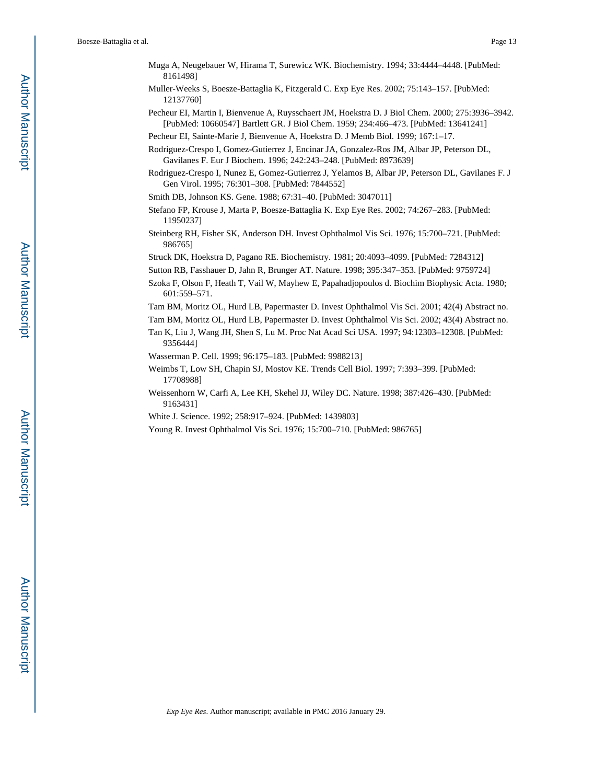- Muga A, Neugebauer W, Hirama T, Surewicz WK. Biochemistry. 1994; 33:4444–4448. [PubMed: 8161498]
- Muller-Weeks S, Boesze-Battaglia K, Fitzgerald C. Exp Eye Res. 2002; 75:143–157. [PubMed: 12137760]
- Pecheur EI, Martin I, Bienvenue A, Ruysschaert JM, Hoekstra D. J Biol Chem. 2000; 275:3936–3942. [PubMed: 10660547] Bartlett GR. J Biol Chem. 1959; 234:466–473. [PubMed: 13641241]

- Rodriguez-Crespo I, Gomez-Gutierrez J, Encinar JA, Gonzalez-Ros JM, Albar JP, Peterson DL, Gavilanes F. Eur J Biochem. 1996; 242:243–248. [PubMed: 8973639]
- Rodriguez-Crespo I, Nunez E, Gomez-Gutierrez J, Yelamos B, Albar JP, Peterson DL, Gavilanes F. J Gen Virol. 1995; 76:301–308. [PubMed: 7844552]
- Smith DB, Johnson KS. Gene. 1988; 67:31–40. [PubMed: 3047011]
- Stefano FP, Krouse J, Marta P, Boesze-Battaglia K. Exp Eye Res. 2002; 74:267–283. [PubMed: 11950237]
- Steinberg RH, Fisher SK, Anderson DH. Invest Ophthalmol Vis Sci. 1976; 15:700–721. [PubMed: 986765]
- Struck DK, Hoekstra D, Pagano RE. Biochemistry. 1981; 20:4093–4099. [PubMed: 7284312]
- Sutton RB, Fasshauer D, Jahn R, Brunger AT. Nature. 1998; 395:347–353. [PubMed: 9759724]
- Szoka F, Olson F, Heath T, Vail W, Mayhew E, Papahadjopoulos d. Biochim Biophysic Acta. 1980; 601:559–571.
- Tam BM, Moritz OL, Hurd LB, Papermaster D. Invest Ophthalmol Vis Sci. 2001; 42(4) Abstract no.
- Tam BM, Moritz OL, Hurd LB, Papermaster D. Invest Ophthalmol Vis Sci. 2002; 43(4) Abstract no.
- Tan K, Liu J, Wang JH, Shen S, Lu M. Proc Nat Acad Sci USA. 1997; 94:12303–12308. [PubMed: 9356444]
- Wasserman P. Cell. 1999; 96:175–183. [PubMed: 9988213]
- Weimbs T, Low SH, Chapin SJ, Mostov KE. Trends Cell Biol. 1997; 7:393–399. [PubMed: 17708988]
- Weissenhorn W, Carfi A, Lee KH, Skehel JJ, Wiley DC. Nature. 1998; 387:426–430. [PubMed: 9163431]
- White J. Science. 1992; 258:917–924. [PubMed: 1439803]
- Young R. Invest Ophthalmol Vis Sci. 1976; 15:700–710. [PubMed: 986765]

Pecheur EI, Sainte-Marie J, Bienvenue A, Hoekstra D. J Memb Biol. 1999; 167:1–17.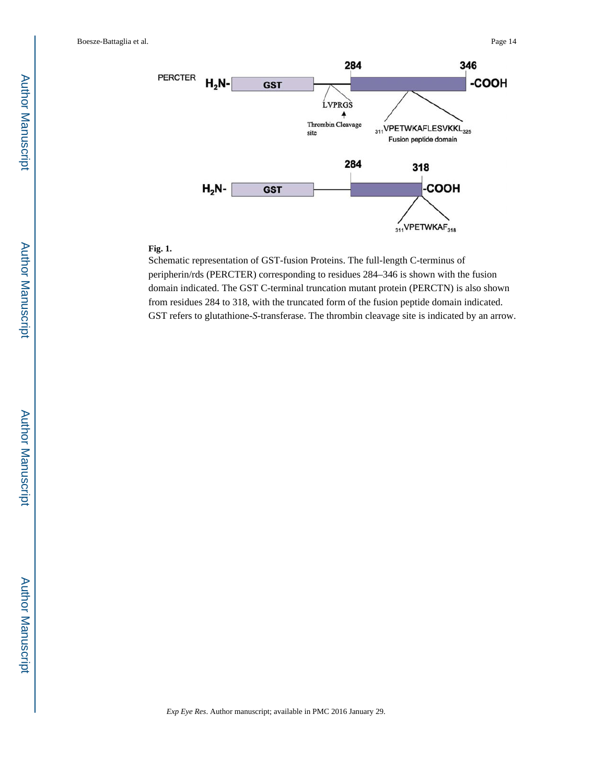

#### **Fig. 1.**

Schematic representation of GST-fusion Proteins. The full-length C-terminus of peripherin/rds (PERCTER) corresponding to residues 284–346 is shown with the fusion domain indicated. The GST C-terminal truncation mutant protein (PERCTN) is also shown from residues 284 to 318, with the truncated form of the fusion peptide domain indicated. GST refers to glutathione-*S*-transferase. The thrombin cleavage site is indicated by an arrow.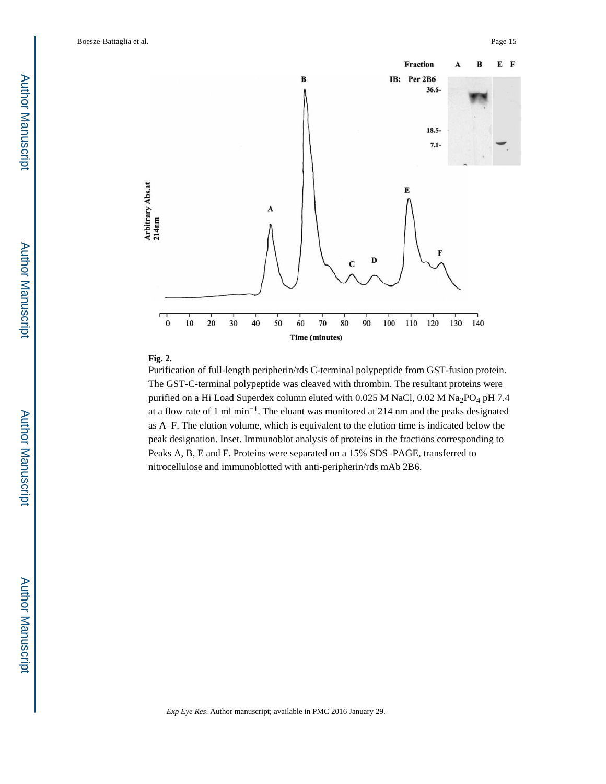

## **Fig. 2.**

Purification of full-length peripherin/rds C-terminal polypeptide from GST-fusion protein. The GST-C-terminal polypeptide was cleaved with thrombin. The resultant proteins were purified on a Hi Load Superdex column eluted with 0.025 M NaCl, 0.02 M Na<sub>2</sub>PO<sub>4</sub> pH 7.4 at a flow rate of 1 ml min−1. The eluant was monitored at 214 nm and the peaks designated as A–F. The elution volume, which is equivalent to the elution time is indicated below the peak designation. Inset. Immunoblot analysis of proteins in the fractions corresponding to Peaks A, B, E and F. Proteins were separated on a 15% SDS–PAGE, transferred to nitrocellulose and immunoblotted with anti-peripherin/rds mAb 2B6.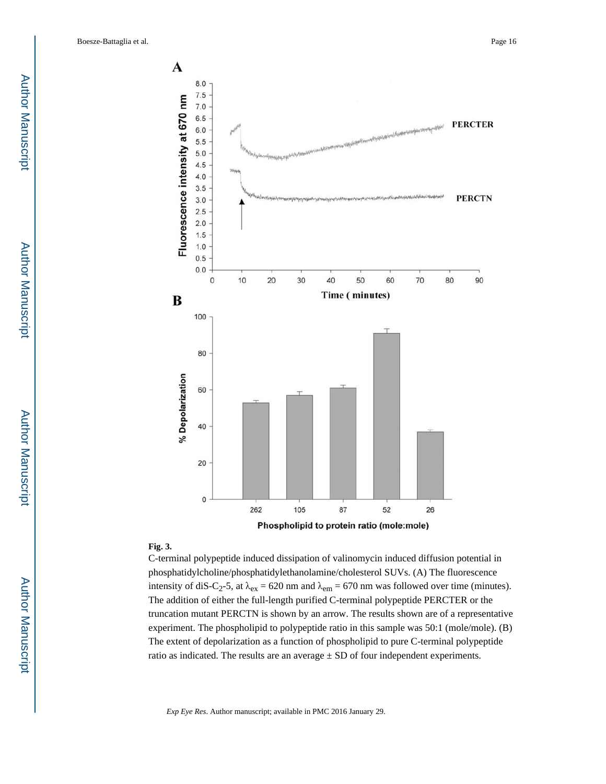

#### **Fig. 3.**

C-terminal polypeptide induced dissipation of valinomycin induced diffusion potential in phosphatidylcholine/phosphatidylethanolamine/cholesterol SUVs. (A) The fluorescence intensity of diS-C<sub>2</sub>-5, at  $\lambda_{ex}$  = 620 nm and  $\lambda_{em}$  = 670 nm was followed over time (minutes). The addition of either the full-length purified C-terminal polypeptide PERCTER or the truncation mutant PERCTN is shown by an arrow. The results shown are of a representative experiment. The phospholipid to polypeptide ratio in this sample was 50:1 (mole/mole). (B) The extent of depolarization as a function of phospholipid to pure C-terminal polypeptide ratio as indicated. The results are an average  $\pm$  SD of four independent experiments.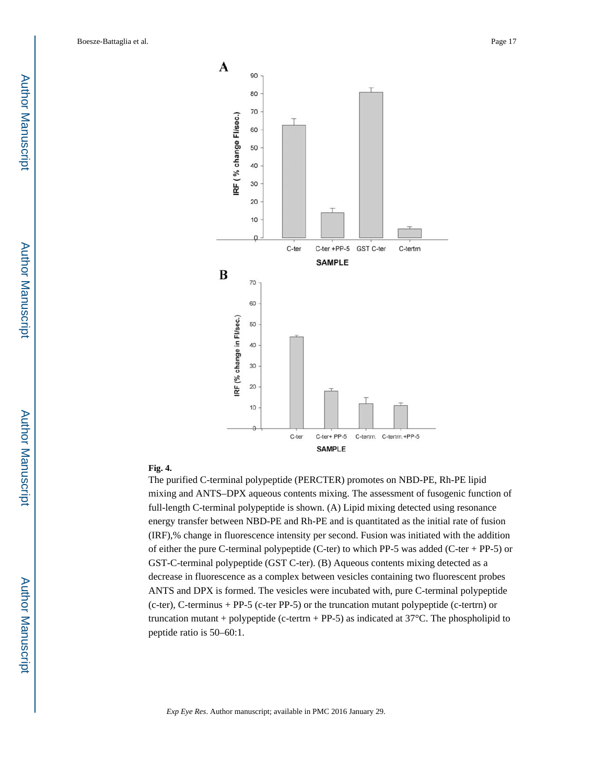

#### **Fig. 4.**

The purified C-terminal polypeptide (PERCTER) promotes on NBD-PE, Rh-PE lipid mixing and ANTS–DPX aqueous contents mixing. The assessment of fusogenic function of full-length C-terminal polypeptide is shown. (A) Lipid mixing detected using resonance energy transfer between NBD-PE and Rh-PE and is quantitated as the initial rate of fusion (IRF),% change in fluorescence intensity per second. Fusion was initiated with the addition of either the pure C-terminal polypeptide (C-ter) to which PP-5 was added (C-ter + PP-5) or GST-C-terminal polypeptide (GST C-ter). (B) Aqueous contents mixing detected as a decrease in fluorescence as a complex between vesicles containing two fluorescent probes ANTS and DPX is formed. The vesicles were incubated with, pure C-terminal polypeptide (c-ter), C-terminus + PP-5 (c-ter PP-5) or the truncation mutant polypeptide (c-tertrn) or truncation mutant + polypeptide (c-tertrn + PP-5) as indicated at  $37^{\circ}$ C. The phospholipid to peptide ratio is 50–60:1.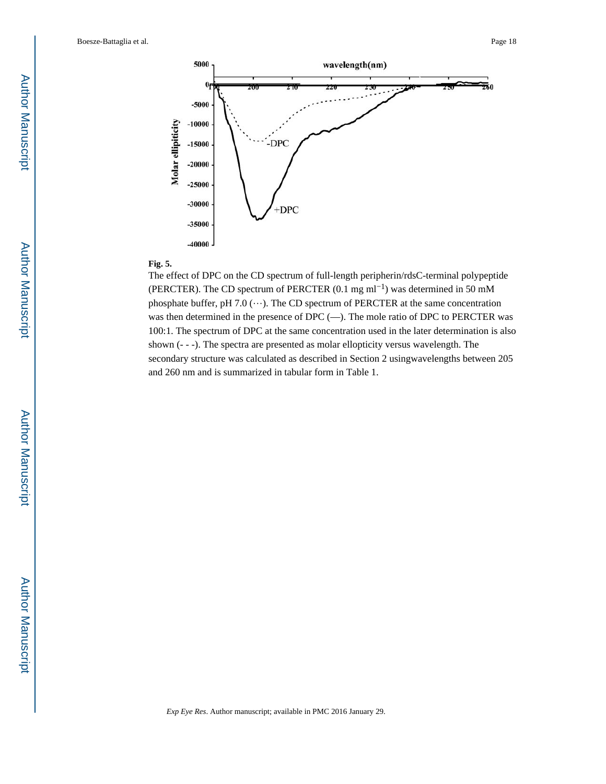

#### **Fig. 5.**

The effect of DPC on the CD spectrum of full-length peripherin/rdsC-terminal polypeptide (PERCTER). The CD spectrum of PERCTER (0.1 mg ml−1) was determined in 50 mM phosphate buffer, pH 7.0  $(\cdots)$ . The CD spectrum of PERCTER at the same concentration was then determined in the presence of DPC (—). The mole ratio of DPC to PERCTER was 100:1. The spectrum of DPC at the same concentration used in the later determination is also shown (- - -). The spectra are presented as molar ellopticity versus wavelength. The secondary structure was calculated as described in Section 2 usingwavelengths between 205 and 260 nm and is summarized in tabular form in Table 1.